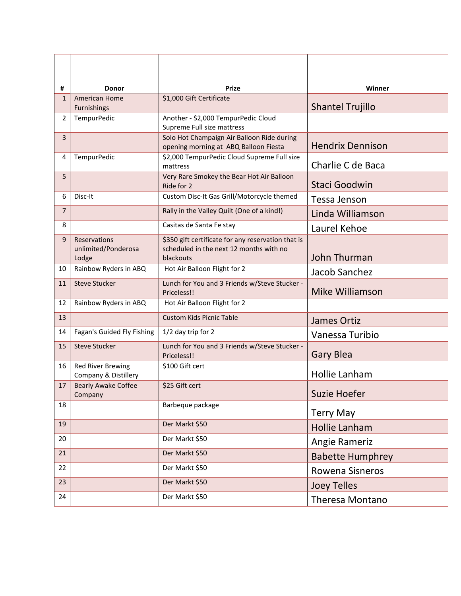| #<br>$\mathbf{1}$ | <b>Donor</b><br><b>American Home</b>             | <b>Prize</b><br>\$1,000 Gift Certificate                                                                   | Winner                  |
|-------------------|--------------------------------------------------|------------------------------------------------------------------------------------------------------------|-------------------------|
|                   | Furnishings                                      |                                                                                                            | <b>Shantel Trujillo</b> |
| 2                 | <b>TempurPedic</b>                               | Another - \$2,000 TempurPedic Cloud<br>Supreme Full size mattress                                          |                         |
| 3                 |                                                  | Solo Hot Champaign Air Balloon Ride during<br>opening morning at ABQ Balloon Fiesta                        | <b>Hendrix Dennison</b> |
| 4                 | <b>TempurPedic</b>                               | \$2,000 TempurPedic Cloud Supreme Full size<br>mattress                                                    | Charlie C de Baca       |
| 5                 |                                                  | Very Rare Smokey the Bear Hot Air Balloon<br>Ride for 2                                                    | Staci Goodwin           |
| 6                 | Disc-It                                          | Custom Disc-It Gas Grill/Motorcycle themed                                                                 | Tessa Jenson            |
| $\overline{7}$    |                                                  | Rally in the Valley Quilt (One of a kind!)                                                                 | Linda Williamson        |
| 8                 |                                                  | Casitas de Santa Fe stay                                                                                   | Laurel Kehoe            |
| 9                 | Reservations<br>unlimited/Ponderosa<br>Lodge     | \$350 gift certificate for any reservation that is<br>scheduled in the next 12 months with no<br>blackouts | John Thurman            |
| 10                | Rainbow Ryders in ABQ                            | Hot Air Balloon Flight for 2                                                                               | Jacob Sanchez           |
| 11                | <b>Steve Stucker</b>                             | Lunch for You and 3 Friends w/Steve Stucker -<br>Priceless!!                                               | Mike Williamson         |
| 12                | Rainbow Ryders in ABQ                            | Hot Air Balloon Flight for 2                                                                               |                         |
| 13                |                                                  | <b>Custom Kids Picnic Table</b>                                                                            | James Ortiz             |
| 14                | Fagan's Guided Fly Fishing                       | 1/2 day trip for 2                                                                                         | Vanessa Turibio         |
| 15                | <b>Steve Stucker</b>                             | Lunch for You and 3 Friends w/Steve Stucker -<br>Priceless!!                                               | <b>Gary Blea</b>        |
| 16                | <b>Red River Brewing</b><br>Company & Distillery | \$100 Gift cert                                                                                            | Hollie Lanham           |
| 17                | <b>Bearly Awake Coffee</b><br>Company            | \$25 Gift cert                                                                                             | Suzie Hoefer            |
| 18                |                                                  | Barbeque package                                                                                           | <b>Terry May</b>        |
| 19                |                                                  | Der Markt \$50                                                                                             | Hollie Lanham           |
| 20                |                                                  | Der Markt \$50                                                                                             | Angie Rameriz           |
| 21                |                                                  | Der Markt \$50                                                                                             | <b>Babette Humphrey</b> |
| 22                |                                                  | Der Markt \$50                                                                                             | Rowena Sisneros         |
| 23                |                                                  | Der Markt \$50                                                                                             | <b>Joey Telles</b>      |
| 24                |                                                  | Der Markt \$50                                                                                             | Theresa Montano         |